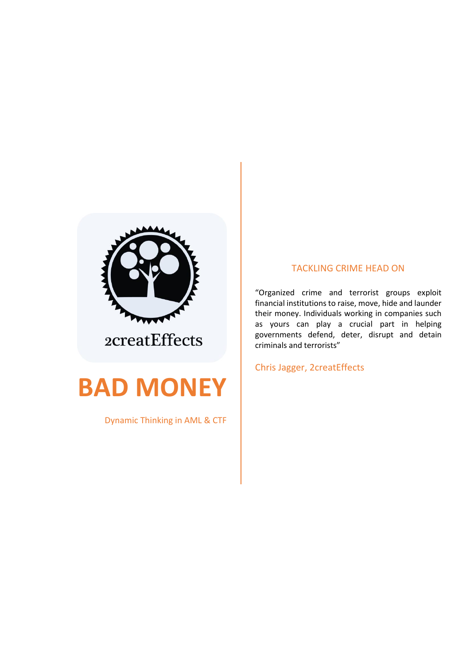

# **BAD MONEY**

Dynamic Thinking in AML & CTF

### TACKLING CRIME HEAD ON

"Organized crime and terrorist groups exploit financial institutions to raise, move, hide and launder their money. Individuals working in companies such as yours can play a crucial part in helping governments defend, deter, disrupt and detain criminals and terrorists"

Chris Jagger, 2creatEffects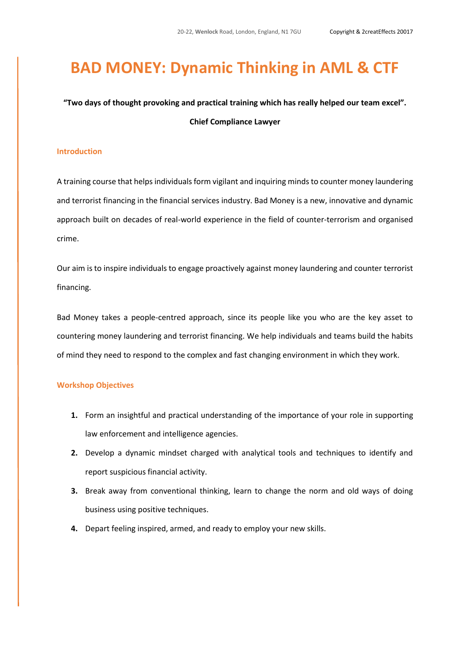# **BAD MONEY: Dynamic Thinking in AML & CTF**

### **"Two days of thought provoking and practical training which has really helped our team excel". Chief Compliance Lawyer**

#### **Introduction**

A training course that helps individuals form vigilant and inquiring minds to counter money laundering and terrorist financing in the financial services industry. Bad Money is a new, innovative and dynamic approach built on decades of real-world experience in the field of counter-terrorism and organised crime.

Our aim is to inspire individuals to engage proactively against money laundering and counter terrorist financing.

Bad Money takes a people-centred approach, since its people like you who are the key asset to countering money laundering and terrorist financing. We help individuals and teams build the habits of mind they need to respond to the complex and fast changing environment in which they work.

### **Workshop Objectives**

- **1.** Form an insightful and practical understanding of the importance of your role in supporting law enforcement and intelligence agencies.
- **2.** Develop a dynamic mindset charged with analytical tools and techniques to identify and report suspicious financial activity.
- **3.** Break away from conventional thinking, learn to change the norm and old ways of doing business using positive techniques.
- **4.** Depart feeling inspired, armed, and ready to employ your new skills.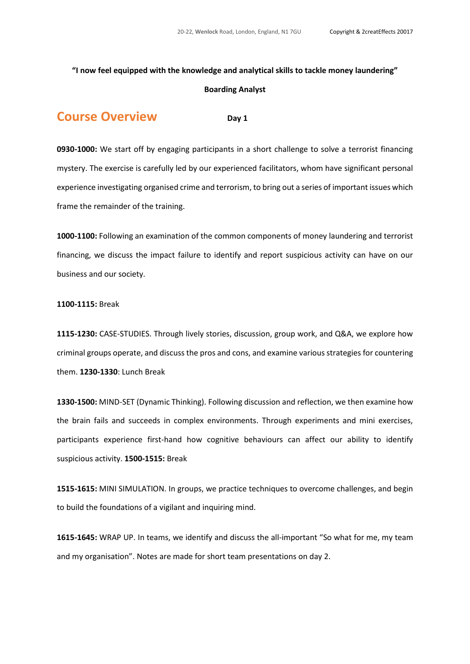### **"I now feel equipped with the knowledge and analytical skills to tackle money laundering"**

#### **Boarding Analyst**

### **COUISE OVERVIEW**  Dav 1

**0930-1000:** We start off by engaging participants in a short challenge to solve a terrorist financing mystery. The exercise is carefully led by our experienced facilitators, whom have significant personal experience investigating organised crime and terrorism, to bring out a series of important issues which frame the remainder of the training.

**1000-1100:** Following an examination of the common components of money laundering and terrorist financing, we discuss the impact failure to identify and report suspicious activity can have on our business and our society.

#### **1100-1115:** Break

**1115-1230:** CASE-STUDIES. Through lively stories, discussion, group work, and Q&A, we explore how criminal groups operate, and discuss the pros and cons, and examine various strategies for countering them. **1230-1330**: Lunch Break

**1330-1500:** MIND-SET (Dynamic Thinking). Following discussion and reflection, we then examine how the brain fails and succeeds in complex environments. Through experiments and mini exercises, participants experience first-hand how cognitive behaviours can affect our ability to identify suspicious activity. **1500-1515:** Break

**1515-1615:** MINI SIMULATION. In groups, we practice techniques to overcome challenges, and begin to build the foundations of a vigilant and inquiring mind.

**1615-1645:** WRAP UP. In teams, we identify and discuss the all-important "So what for me, my team and my organisation". Notes are made for short team presentations on day 2.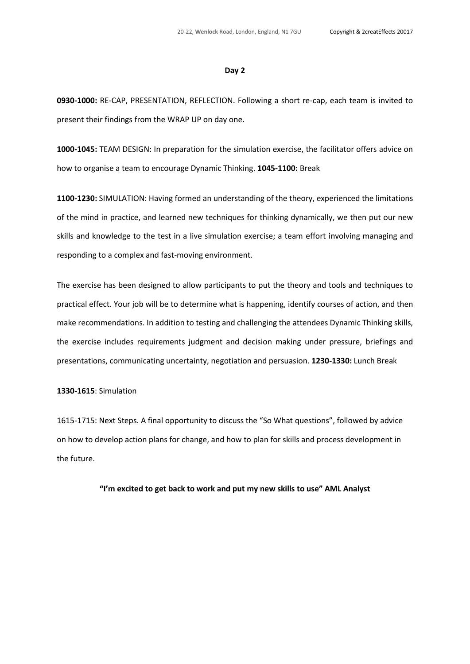#### **Day 2**

**0930-1000:** RE-CAP, PRESENTATION, REFLECTION. Following a short re-cap, each team is invited to present their findings from the WRAP UP on day one.

**1000-1045:** TEAM DESIGN: In preparation for the simulation exercise, the facilitator offers advice on how to organise a team to encourage Dynamic Thinking. **1045-1100:** Break

**1100-1230:** SIMULATION: Having formed an understanding of the theory, experienced the limitations of the mind in practice, and learned new techniques for thinking dynamically, we then put our new skills and knowledge to the test in a live simulation exercise; a team effort involving managing and responding to a complex and fast-moving environment.

The exercise has been designed to allow participants to put the theory and tools and techniques to practical effect. Your job will be to determine what is happening, identify courses of action, and then make recommendations. In addition to testing and challenging the attendees Dynamic Thinking skills, the exercise includes requirements judgment and decision making under pressure, briefings and presentations, communicating uncertainty, negotiation and persuasion. **1230-1330:** Lunch Break

#### **1330-1615**: Simulation

1615-1715: Next Steps. A final opportunity to discuss the "So What questions", followed by advice on how to develop action plans for change, and how to plan for skills and process development in the future.

**"I'm excited to get back to work and put my new skills to use" AML Analyst**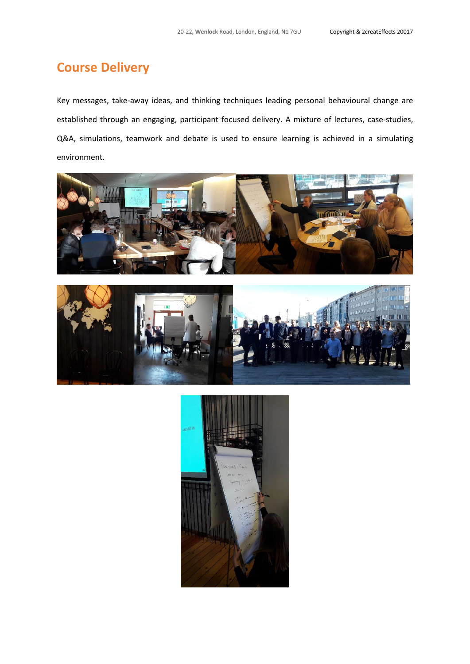## **Course Delivery**

Key messages, take-away ideas, and thinking techniques leading personal behavioural change are established through an engaging, participant focused delivery. A mixture of lectures, case-studies, Q&A, simulations, teamwork and debate is used to ensure learning is achieved in a simulating environment.





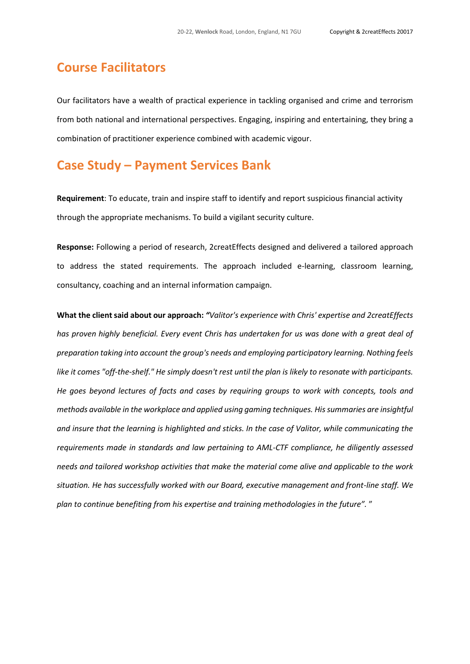### **Course Facilitators**

Our facilitators have a wealth of practical experience in tackling organised and crime and terrorism from both national and international perspectives. Engaging, inspiring and entertaining, they bring a combination of practitioner experience combined with academic vigour.

### **Case Study – Payment Services Bank**

**Requirement**: To educate, train and inspire staff to identify and report suspicious financial activity through the appropriate mechanisms. To build a vigilant security culture.

**Response:** Following a period of research, 2creatEffects designed and delivered a tailored approach to address the stated requirements. The approach included e-learning, classroom learning, consultancy, coaching and an internal information campaign.

**What the clientsaid about our approach:** *"Valitor's experience with Chris' expertise and 2creatEffects has proven highly beneficial. Every event Chris has undertaken for us was done with a great deal of preparation taking into account the group's needs and employing participatory learning. Nothing feels like it comes "off-the-shelf." He simply doesn't rest until the plan is likely to resonate with participants. He goes beyond lectures of facts and cases by requiring groups to work with concepts, tools and methods available in the workplace and applied using gaming techniques. His summaries are insightful and insure that the learning is highlighted and sticks. In the case of Valitor, while communicating the requirements made in standards and law pertaining to AML-CTF compliance, he diligently assessed needs and tailored workshop activities that make the material come alive and applicable to the work situation. He has successfully worked with our Board, executive management and front-line staff. We plan to continue benefiting from his expertise and training methodologies in the future".* "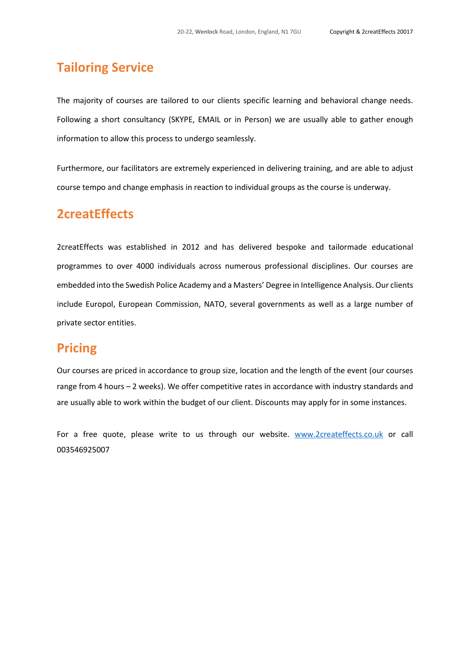### **Tailoring Service**

The majority of courses are tailored to our clients specific learning and behavioral change needs. Following a short consultancy (SKYPE, EMAIL or in Person) we are usually able to gather enough information to allow this process to undergo seamlessly.

Furthermore, our facilitators are extremely experienced in delivering training, and are able to adjust course tempo and change emphasis in reaction to individual groups as the course is underway.

### **2creatEffects**

2creatEffects was established in 2012 and has delivered bespoke and tailormade educational programmes to over 4000 individuals across numerous professional disciplines. Our courses are embedded into the Swedish Police Academy and a Masters' Degree in Intelligence Analysis. Our clients include Europol, European Commission, NATO, several governments as well as a large number of private sector entities.

### **Pricing**

Our courses are priced in accordance to group size, location and the length of the event (our courses range from 4 hours – 2 weeks). We offer competitive rates in accordance with industry standards and are usually able to work within the budget of our client. Discounts may apply for in some instances.

For a free quote, please write to us through our website. [www.2createffects.co.uk](http://www.2createffects.co.uk/) or call 003546925007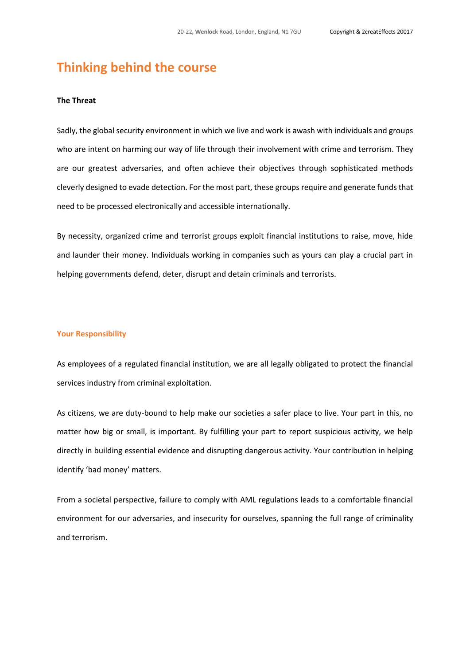### **Thinking behind the course**

### **The Threat**

Sadly, the global security environment in which we live and work is awash with individuals and groups who are intent on harming our way of life through their involvement with crime and terrorism. They are our greatest adversaries, and often achieve their objectives through sophisticated methods cleverly designed to evade detection. For the most part, these groups require and generate funds that need to be processed electronically and accessible internationally.

By necessity, organized crime and terrorist groups exploit financial institutions to raise, move, hide and launder their money. Individuals working in companies such as yours can play a crucial part in helping governments defend, deter, disrupt and detain criminals and terrorists.

#### **Your Responsibility**

As employees of a regulated financial institution, we are all legally obligated to protect the financial services industry from criminal exploitation.

As citizens, we are duty-bound to help make our societies a safer place to live. Your part in this, no matter how big or small, is important. By fulfilling your part to report suspicious activity, we help directly in building essential evidence and disrupting dangerous activity. Your contribution in helping identify 'bad money' matters.

From a societal perspective, failure to comply with AML regulations leads to a comfortable financial environment for our adversaries, and insecurity for ourselves, spanning the full range of criminality and terrorism.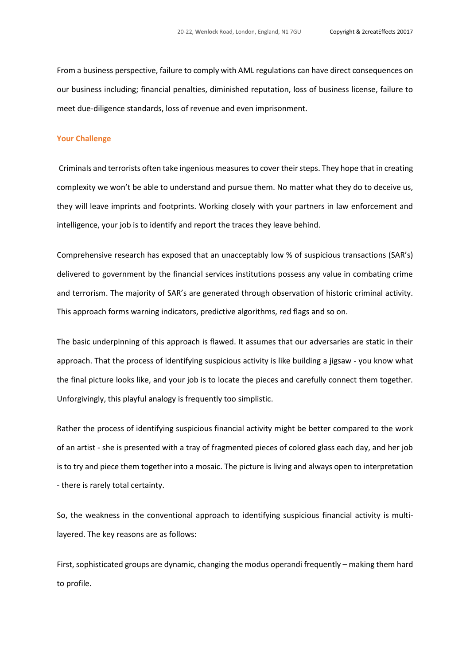From a business perspective, failure to comply with AML regulations can have direct consequences on our business including; financial penalties, diminished reputation, loss of business license, failure to meet due-diligence standards, loss of revenue and even imprisonment.

#### **Your Challenge**

Criminals and terrorists often take ingenious measures to cover their steps. They hope that in creating complexity we won't be able to understand and pursue them. No matter what they do to deceive us, they will leave imprints and footprints. Working closely with your partners in law enforcement and intelligence, your job is to identify and report the traces they leave behind.

Comprehensive research has exposed that an unacceptably low % of suspicious transactions (SAR's) delivered to government by the financial services institutions possess any value in combating crime and terrorism. The majority of SAR's are generated through observation of historic criminal activity. This approach forms warning indicators, predictive algorithms, red flags and so on.

The basic underpinning of this approach is flawed. It assumes that our adversaries are static in their approach. That the process of identifying suspicious activity is like building a jigsaw - you know what the final picture looks like, and your job is to locate the pieces and carefully connect them together. Unforgivingly, this playful analogy is frequently too simplistic.

Rather the process of identifying suspicious financial activity might be better compared to the work of an artist - she is presented with a tray of fragmented pieces of colored glass each day, and her job is to try and piece them together into a mosaic. The picture is living and always open to interpretation - there is rarely total certainty.

So, the weakness in the conventional approach to identifying suspicious financial activity is multilayered. The key reasons are as follows:

First, sophisticated groups are dynamic, changing the modus operandi frequently – making them hard to profile.